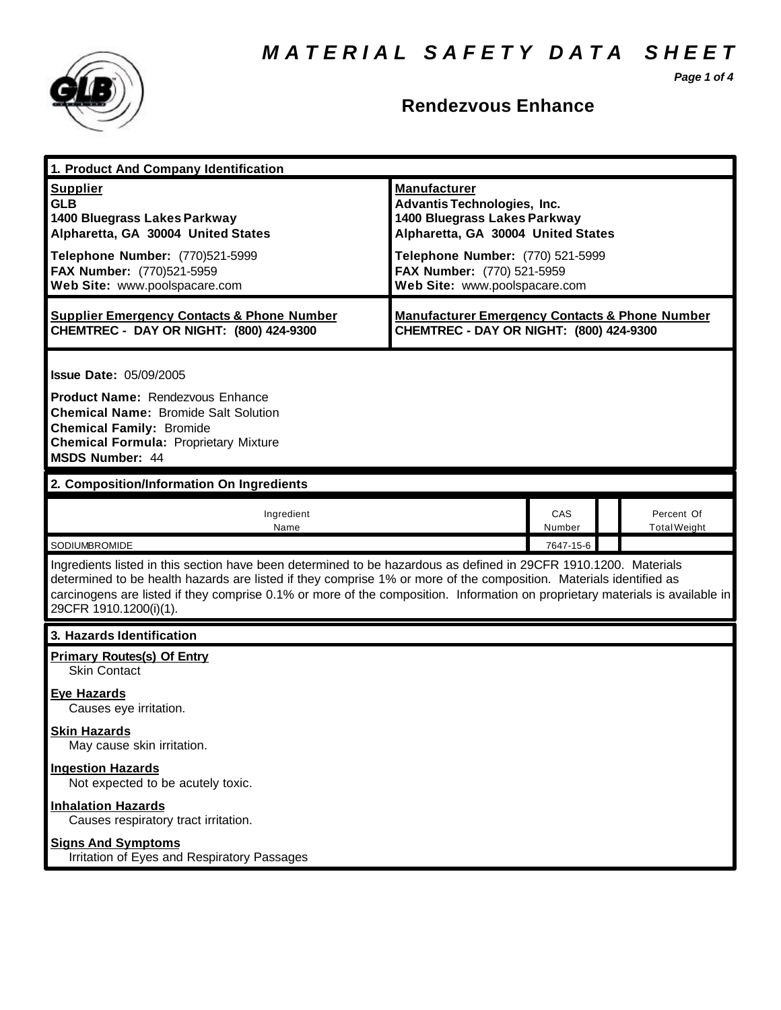*Page 1 of 4*



### **Rendezvous Enhance**

| 1. Product And Company Identification                                                                                                                                                                                                                                                                                                                                                             |                                                                                                                                                                                                                                    |               |  |                                   |
|---------------------------------------------------------------------------------------------------------------------------------------------------------------------------------------------------------------------------------------------------------------------------------------------------------------------------------------------------------------------------------------------------|------------------------------------------------------------------------------------------------------------------------------------------------------------------------------------------------------------------------------------|---------------|--|-----------------------------------|
| <b>Supplier</b><br><b>GLB</b><br>1400 Bluegrass Lakes Parkway<br>Alpharetta, GA 30004 United States<br>Telephone Number: (770)521-5999<br>FAX Number: (770)521-5959<br>Web Site: www.poolspacare.com                                                                                                                                                                                              | <b>Manufacturer</b><br><b>Advantis Technologies, Inc.</b><br>1400 Bluegrass Lakes Parkway<br>Alpharetta, GA 30004 United States<br>Telephone Number: (770) 521-5999<br>FAX Number: (770) 521-5959<br>Web Site: www.poolspacare.com |               |  |                                   |
| <b>Supplier Emergency Contacts &amp; Phone Number</b><br>CHEMTREC - DAY OR NIGHT: (800) 424-9300                                                                                                                                                                                                                                                                                                  | <b>Manufacturer Emergency Contacts &amp; Phone Number</b><br>CHEMTREC - DAY OR NIGHT: (800) 424-9300                                                                                                                               |               |  |                                   |
| <b>Issue Date: 05/09/2005</b><br><b>Product Name: Rendezvous Enhance</b><br><b>Chemical Name: Bromide Salt Solution</b><br><b>Chemical Family: Bromide</b><br><b>Chemical Formula: Proprietary Mixture</b><br><b>MSDS Number: 44</b>                                                                                                                                                              |                                                                                                                                                                                                                                    |               |  |                                   |
| 2. Composition/Information On Ingredients                                                                                                                                                                                                                                                                                                                                                         |                                                                                                                                                                                                                                    |               |  |                                   |
| Ingredient<br>Name                                                                                                                                                                                                                                                                                                                                                                                |                                                                                                                                                                                                                                    | CAS<br>Number |  | Percent Of<br><b>Total Weight</b> |
| SODIUMBROMIDE                                                                                                                                                                                                                                                                                                                                                                                     |                                                                                                                                                                                                                                    | 7647-15-6     |  |                                   |
| Ingredients listed in this section have been determined to be hazardous as defined in 29CFR 1910.1200. Materials<br>determined to be health hazards are listed if they comprise 1% or more of the composition. Materials identified as<br>carcinogens are listed if they comprise 0.1% or more of the composition. Information on proprietary materials is available in<br>29CFR 1910.1200(i)(1). |                                                                                                                                                                                                                                    |               |  |                                   |
| 3. Hazards Identification                                                                                                                                                                                                                                                                                                                                                                         |                                                                                                                                                                                                                                    |               |  |                                   |
| <b>Primary Routes(s) Of Entry</b><br>Skin Contact<br><b>Eye Hazards</b><br>Causes eye irritation.                                                                                                                                                                                                                                                                                                 |                                                                                                                                                                                                                                    |               |  |                                   |
| <b>Skin Hazards</b><br>May cause skin irritation.                                                                                                                                                                                                                                                                                                                                                 |                                                                                                                                                                                                                                    |               |  |                                   |
| <b>Ingestion Hazards</b><br>Not expected to be acutely toxic.                                                                                                                                                                                                                                                                                                                                     |                                                                                                                                                                                                                                    |               |  |                                   |
| <b>Inhalation Hazards</b><br>Causes respiratory tract irritation.                                                                                                                                                                                                                                                                                                                                 |                                                                                                                                                                                                                                    |               |  |                                   |
| <b>Signs And Symptoms</b><br>Irritation of Eyes and Respiratory Passages                                                                                                                                                                                                                                                                                                                          |                                                                                                                                                                                                                                    |               |  |                                   |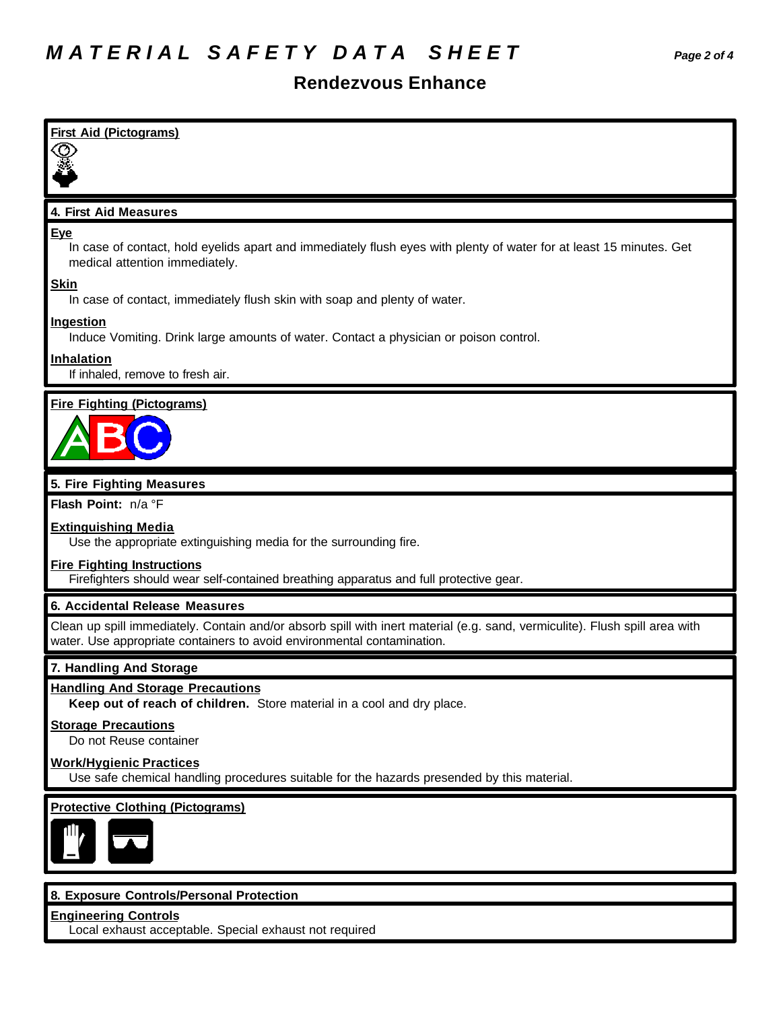### **Rendezvous Enhance**

| <b>First Aid (Pictograms)</b>                                                                                                                                                                          |
|--------------------------------------------------------------------------------------------------------------------------------------------------------------------------------------------------------|
|                                                                                                                                                                                                        |
|                                                                                                                                                                                                        |
|                                                                                                                                                                                                        |
| 4. First Aid Measures                                                                                                                                                                                  |
| <b>Eye</b><br>In case of contact, hold eyelids apart and immediately flush eyes with plenty of water for at least 15 minutes. Get<br>medical attention immediately.                                    |
| <b>Skin</b><br>In case of contact, immediately flush skin with soap and plenty of water.                                                                                                               |
| <b>Ingestion</b><br>Induce Vomiting. Drink large amounts of water. Contact a physician or poison control.                                                                                              |
| Inhalation                                                                                                                                                                                             |
| If inhaled, remove to fresh air.                                                                                                                                                                       |
| <b>Fire Fighting (Pictograms)</b>                                                                                                                                                                      |
|                                                                                                                                                                                                        |
| 5. Fire Fighting Measures                                                                                                                                                                              |
| Flash Point: n/a °F                                                                                                                                                                                    |
| <b>Extinguishing Media</b><br>Use the appropriate extinguishing media for the surrounding fire.                                                                                                        |
| <b>Fire Fighting Instructions</b><br>Firefighters should wear self-contained breathing apparatus and full protective gear.                                                                             |
| 6. Accidental Release Measures                                                                                                                                                                         |
| Clean up spill immediately. Contain and/or absorb spill with inert material (e.g. sand, vermiculite). Flush spill area with<br>water. Use appropriate containers to avoid environmental contamination. |
| 7. Handling And Storage                                                                                                                                                                                |
| <b>Handling And Storage Precautions</b><br>Keep out of reach of children. Store material in a cool and dry place.                                                                                      |
| <b>Storage Precautions</b><br>Do not Reuse container                                                                                                                                                   |
| <b>Work/Hygienic Practices</b><br>Use safe chemical handling procedures suitable for the hazards presended by this material.                                                                           |
| <b>Protective Clothing (Pictograms)</b>                                                                                                                                                                |
|                                                                                                                                                                                                        |
|                                                                                                                                                                                                        |
| 8. Exposure Controls/Personal Protection<br><b>Engineering Controls</b>                                                                                                                                |
|                                                                                                                                                                                                        |

Local exhaust acceptable. Special exhaust not required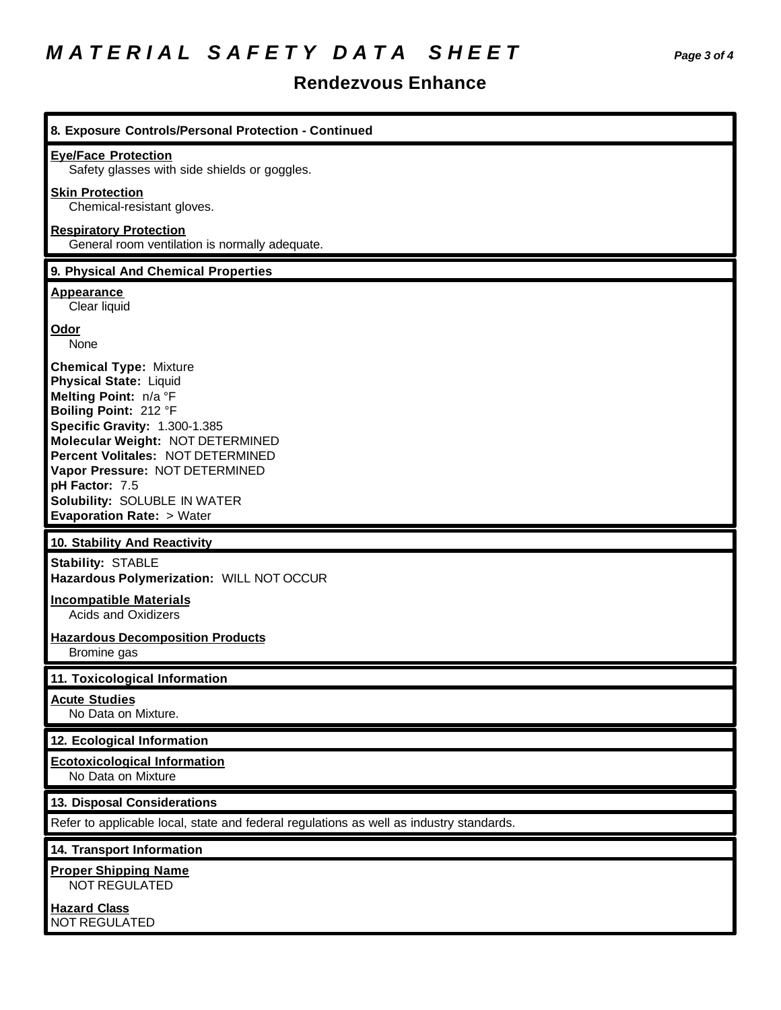# *M A T E R I A L S A F E T Y D A T A S H E E T Page 3 of 4*

### **Rendezvous Enhance**

| 8. Exposure Controls/Personal Protection - Continued                                                                                                                                                                                                                                                                                                  |
|-------------------------------------------------------------------------------------------------------------------------------------------------------------------------------------------------------------------------------------------------------------------------------------------------------------------------------------------------------|
| <b>Eye/Face Protection</b><br>Safety glasses with side shields or goggles.                                                                                                                                                                                                                                                                            |
| <b>Skin Protection</b><br>Chemical-resistant gloves.                                                                                                                                                                                                                                                                                                  |
| <b>Respiratory Protection</b><br>General room ventilation is normally adequate.                                                                                                                                                                                                                                                                       |
| 9. Physical And Chemical Properties                                                                                                                                                                                                                                                                                                                   |
| <b>Appearance</b><br>Clear liquid                                                                                                                                                                                                                                                                                                                     |
| Odor<br>None                                                                                                                                                                                                                                                                                                                                          |
| <b>Chemical Type: Mixture</b><br><b>Physical State: Liquid</b><br>Melting Point: n/a °F<br>Boiling Point: 212 °F<br>Specific Gravity: 1.300-1.385<br>Molecular Weight: NOT DETERMINED<br>Percent Volitales: NOT DETERMINED<br>Vapor Pressure: NOT DETERMINED<br>pH Factor: 7.5<br>Solubility: SOLUBLE IN WATER<br><b>Evaporation Rate: &gt; Water</b> |
|                                                                                                                                                                                                                                                                                                                                                       |
| 10. Stability And Reactivity                                                                                                                                                                                                                                                                                                                          |
| <b>Stability: STABLE</b><br>Hazardous Polymerization: WILL NOT OCCUR                                                                                                                                                                                                                                                                                  |
| <b>Incompatible Materials</b><br><b>Acids and Oxidizers</b>                                                                                                                                                                                                                                                                                           |
| <b>Hazardous Decomposition Products</b><br>Bromine gas                                                                                                                                                                                                                                                                                                |
| 11. Toxicological Information                                                                                                                                                                                                                                                                                                                         |
| <b>Acute Studies</b><br>No Data on Mixture.                                                                                                                                                                                                                                                                                                           |
| 12. Ecological Information                                                                                                                                                                                                                                                                                                                            |
| <b>Ecotoxicological Information</b><br>No Data on Mixture                                                                                                                                                                                                                                                                                             |
| 13. Disposal Considerations                                                                                                                                                                                                                                                                                                                           |
| Refer to applicable local, state and federal regulations as well as industry standards.                                                                                                                                                                                                                                                               |
| 14. Transport Information                                                                                                                                                                                                                                                                                                                             |
| <b>Proper Shipping Name</b><br>NOT REGULATED                                                                                                                                                                                                                                                                                                          |